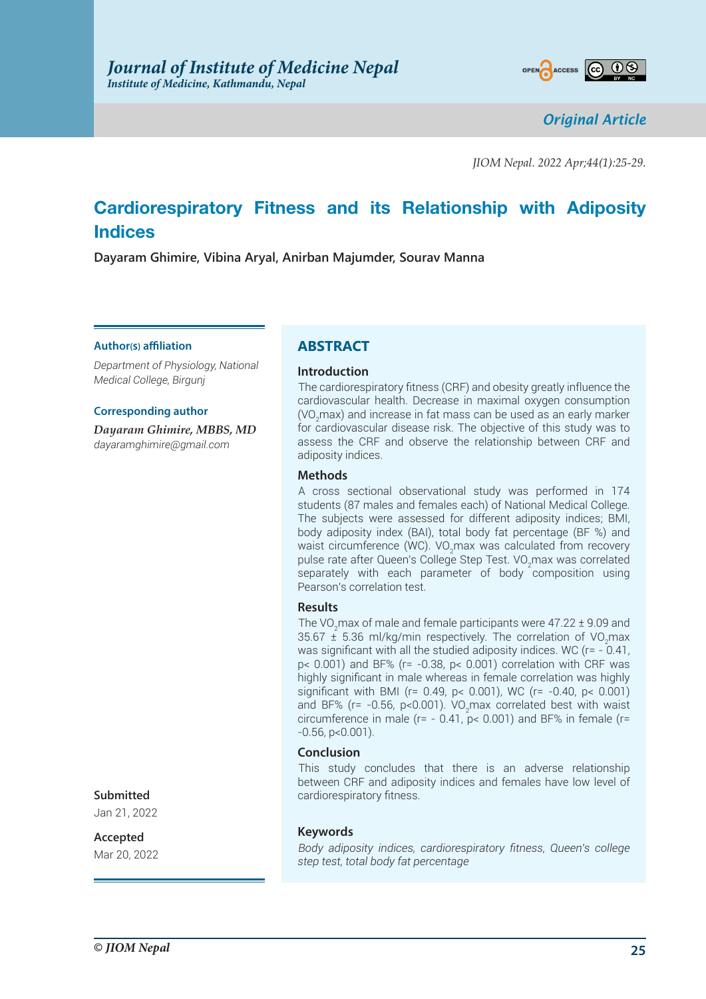

*Original Article*

*JIOM Nepal. 2022 Apr;44(1):25-29.*

# **Cardiorespiratory Fitness and its Relationship with Adiposity Indices**

**Dayaram Ghimire, Vibina Aryal, Anirban Majumder, Sourav Manna**

### **Author(s) affiliation**

*Department of Physiology, National Medical College, Birgunj*

### **Corresponding author**

*Dayaram Ghimire, MBBS, MD dayaramghimire@gmail.com*

# **ABSTRACT**

### **Introduction**

The cardiorespiratory fitness (CRF) and obesity greatly influence the cardiovascular health. Decrease in maximal oxygen consumption (VO<sub>2</sub>max) and increase in fat mass can be used as an early marker for cardiovascular disease risk. The objective of this study was to assess the CRF and observe the relationship between CRF and adiposity indices.

### **Methods**

A cross sectional observational study was performed in 174 students (87 males and females each) of National Medical College. The subjects were assessed for different adiposity indices; BMI, body adiposity index (BAI), total body fat percentage (BF %) and waist circumference (WC). VO<sub>2</sub>max was calculated from recovery pulse rate after Queen's College Step Test. VO $_2$ max was correlated separately with each parameter of body composition using Pearson's correlation test.

### **Results**

The VO<sub>2</sub>max of male and female participants were 47.22  $\pm$  9.09 and 35.67  $\pm$  5.36 ml/kg/min respectively. The correlation of VO<sub>2</sub>max was significant with all the studied adiposity indices. WC ( $r = -0.41$ , p< 0.001) and BF% (r= -0.38, p< 0.001) correlation with CRF was highly significant in male whereas in female correlation was highly significant with BMI (r= 0.49, p< 0.001), WC (r= -0.40, p< 0.001) and BF% (r= -0.56, p<0.001). VO<sub>2</sub>max correlated best with waist circumference in male ( $r = -0.41$ ,  $p < 0.001$ ) and BF% in female ( $r =$  $-0.56$ , p $< 0.001$ ).

### **Conclusion**

This study concludes that there is an adverse relationship between CRF and adiposity indices and females have low level of cardiorespiratory fitness.

#### **Keywords**

*Body adiposity indices, cardiorespiratory fitness, Queen's college step test, total body fat percentage*

# **Submitted**

Jan 21, 2022

## **Accepted**

Mar 20, 2022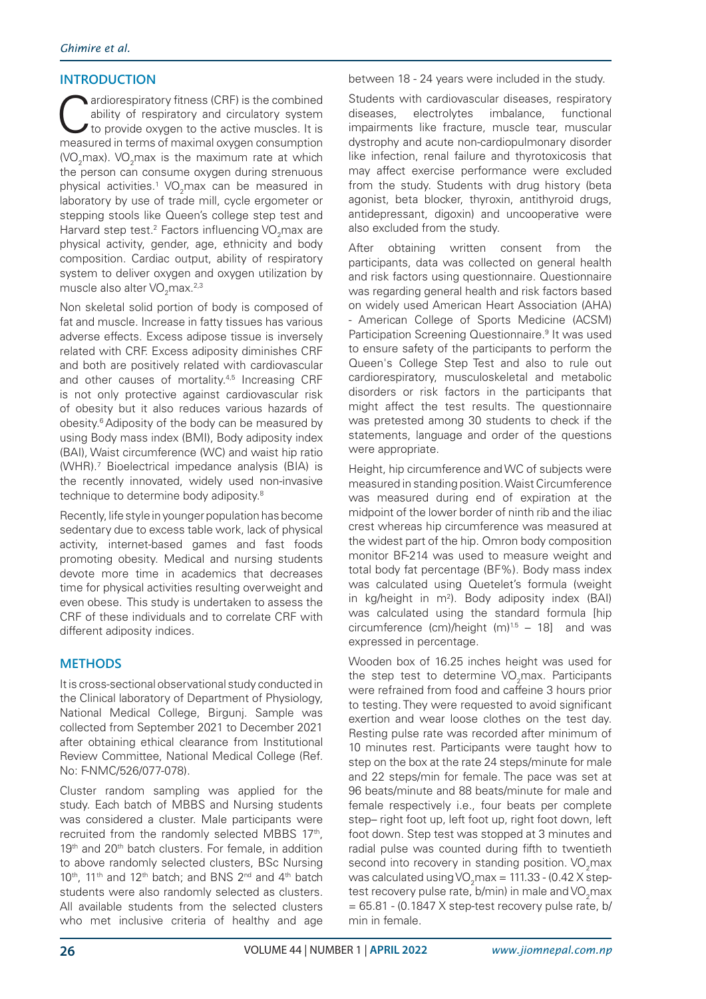# **INTRODUCTION**

ardiorespiratory fitness (CRF) is the combined<br>ability of respiratory and circulatory system<br>to provide oxygen to the active muscles. It is<br>measured in terms of maximal oxygen consumption ability of respiratory and circulatory system to provide oxygen to the active muscles. It is measured in terms of maximal oxygen consumption (VO<sub>2</sub>max). VO<sub>2</sub>max is the maximum rate at which the person can consume oxygen during strenuous physical activities. $^1$  VO<sub>2</sub>max can be measured in laboratory by use of trade mill, cycle ergometer or stepping stools like Queen's college step test and Harvard step test. $^2$  Factors influencing VO<sub>2</sub>max are physical activity, gender, age, ethnicity and body composition. Cardiac output, ability of respiratory system to deliver oxygen and oxygen utilization by muscle also alter VO $_2$ max. $^{2,3}$ 

Non skeletal solid portion of body is composed of fat and muscle. Increase in fatty tissues has various adverse effects. Excess adipose tissue is inversely related with CRF. Excess adiposity diminishes CRF and both are positively related with cardiovascular and other causes of mortality.<sup>4,5</sup> Increasing CRF is not only protective against cardiovascular risk of obesity but it also reduces various hazards of obesity.6 Adiposity of the body can be measured by using Body mass index (BMI), Body adiposity index (BAI), Waist circumference (WC) and waist hip ratio (WHR).7 Bioelectrical impedance analysis (BIA) is the recently innovated, widely used non-invasive technique to determine body adiposity.8

Recently, life style in younger population has become sedentary due to excess table work, lack of physical activity, internet-based games and fast foods promoting obesity. Medical and nursing students devote more time in academics that decreases time for physical activities resulting overweight and even obese. This study is undertaken to assess the CRF of these individuals and to correlate CRF with different adiposity indices.

# **METHODS**

It is cross-sectional observational study conducted in the Clinical laboratory of Department of Physiology, National Medical College, Birgunj. Sample was collected from September 2021 to December 2021 after obtaining ethical clearance from Institutional Review Committee, National Medical College (Ref. No: F-NMC/526/077-078).

Cluster random sampling was applied for the study. Each batch of MBBS and Nursing students was considered a cluster. Male participants were recruited from the randomly selected MBBS 17th, 19<sup>th</sup> and 20<sup>th</sup> batch clusters. For female, in addition to above randomly selected clusters, BSc Nursing 10<sup>th</sup>, 11<sup>th</sup> and 12<sup>th</sup> batch; and BNS 2<sup>nd</sup> and 4<sup>th</sup> batch students were also randomly selected as clusters. All available students from the selected clusters who met inclusive criteria of healthy and age

between 18 - 24 years were included in the study.

Students with cardiovascular diseases, respiratory diseases, electrolytes imbalance, functional impairments like fracture, muscle tear, muscular dystrophy and acute non-cardiopulmonary disorder like infection, renal failure and thyrotoxicosis that may affect exercise performance were excluded from the study. Students with drug history (beta agonist, beta blocker, thyroxin, antithyroid drugs, antidepressant, digoxin) and uncooperative were also excluded from the study.

After obtaining written consent from the participants, data was collected on general health and risk factors using questionnaire. Questionnaire was regarding general health and risk factors based on widely used American Heart Association (AHA) - American College of Sports Medicine (ACSM) Participation Screening Questionnaire.<sup>9</sup> It was used to ensure safety of the participants to perform the Queen's College Step Test and also to rule out cardiorespiratory, musculoskeletal and metabolic disorders or risk factors in the participants that might affect the test results. The questionnaire was pretested among 30 students to check if the statements, language and order of the questions were appropriate.

Height, hip circumference and WC of subjects were measured in standing position. Waist Circumference was measured during end of expiration at the midpoint of the lower border of ninth rib and the iliac crest whereas hip circumference was measured at the widest part of the hip. Omron body composition monitor BF-214 was used to measure weight and total body fat percentage (BF%). Body mass index was calculated using Quetelet's formula (weight in kg/height in  $m^2$ ). Body adiposity index (BAI) was calculated using the standard formula [hip circumference (cm)/height (m) $1.5 - 18$ ] and was expressed in percentage.

Wooden box of 16.25 inches height was used for the step test to determine  $VO<sub>2</sub>$ max. Participants were refrained from food and caffeine 3 hours prior to testing. They were requested to avoid significant exertion and wear loose clothes on the test day. Resting pulse rate was recorded after minimum of 10 minutes rest. Participants were taught how to step on the box at the rate 24 steps/minute for male and 22 steps/min for female. The pace was set at 96 beats/minute and 88 beats/minute for male and female respectively i.e., four beats per complete step– right foot up, left foot up, right foot down, left foot down. Step test was stopped at 3 minutes and radial pulse was counted during fifth to twentieth second into recovery in standing position.  $VO<sub>2</sub>$ max was calculated using VO<sub>2</sub>max = 111.33 - (0.42 X steptest recovery pulse rate, b/min) in male and VO<sub>2</sub>max  $= 65.81 - (0.1847 \times \text{step-test recovery pulse rate}, b)$ min in female.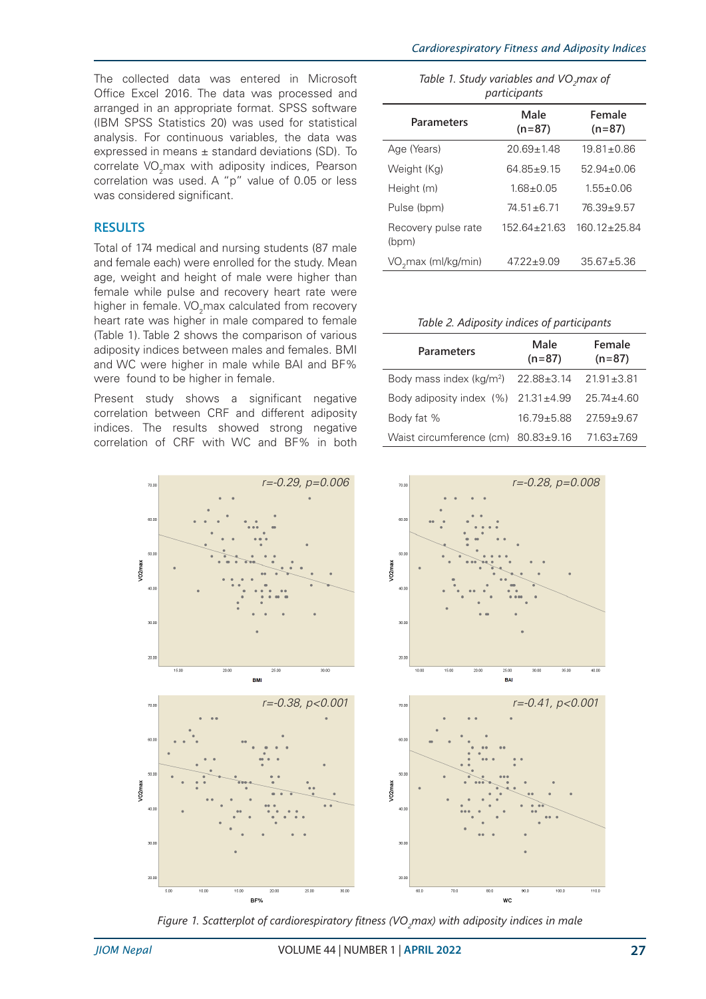The collected data was entered in Microsoft Office Excel 2016. The data was processed and arranged in an appropriate format. SPSS software (IBM SPSS Statistics 20) was used for statistical analysis. For continuous variables, the data was expressed in means  $\pm$  standard deviations (SD). To correlate VO<sub>2</sub>max with adiposity indices, Pearson correlation was used. A "p" value of 0.05 or less was considered significant.

# **RESULTS**

Total of 174 medical and nursing students (87 male and female each) were enrolled for the study. Mean age, weight and height of male were higher than female while pulse and recovery heart rate were higher in female. VO<sub>2</sub>max calculated from recovery heart rate was higher in male compared to female (Table 1). Table 2 shows the comparison of various adiposity indices between males and females. BMI and WC were higher in male while BAI and BF% were found to be higher in female.

Present study shows a significant negative correlation between CRF and different adiposity indices. The results showed strong negative correlation of CRF with WC and BF% in both



*Table 1. Study variables and VO<sub>2</sub>max of participants*

| participants                    |                    |                    |  |
|---------------------------------|--------------------|--------------------|--|
| <b>Parameters</b>               | Male<br>$(n=87)$   | Female<br>$(n=87)$ |  |
| Age (Years)                     | $20.69 \pm 1.48$   | $19.81 \pm 0.86$   |  |
| Weight (Kg)                     | $64.85 \pm 9.15$   | $52.94 \pm 0.06$   |  |
| Height (m)                      | $1.68 + 0.05$      | $1.55 + 0.06$      |  |
| Pulse (bpm)                     | $74.51 \pm 6.71$   | $76.39 + 9.57$     |  |
| Recovery pulse rate<br>(bpm)    | $152.64 \pm 21.63$ | $160.12 \pm 25.84$ |  |
| VO <sub>2</sub> max (ml/kg/min) | $47.22 \pm 9.09$   | $35.67 + 5.36$     |  |

#### *Table 2. Adiposity indices of participants*

| <b>Parameters</b>                           | Male<br>$(n=87)$ | Female<br>$(n=87)$ |
|---------------------------------------------|------------------|--------------------|
| Body mass index (kg/m <sup>2</sup> )        | $22.88 \pm 3.14$ | $21.91 \pm 3.81$   |
| Body adiposity index $(%)$ 21.31 $\pm$ 4.99 |                  | $25.74 \pm 4.60$   |
| Body fat %                                  | $16.79 \pm 5.88$ | $27.59 + 9.67$     |
| Waist circumference (cm) $80.83 \pm 9.16$   |                  | $71.63 \pm 7.69$   |



*Figure 1. Scatterplot of cardiorespiratory fitness (VO<sup>2</sup> max) with adiposity indices in male*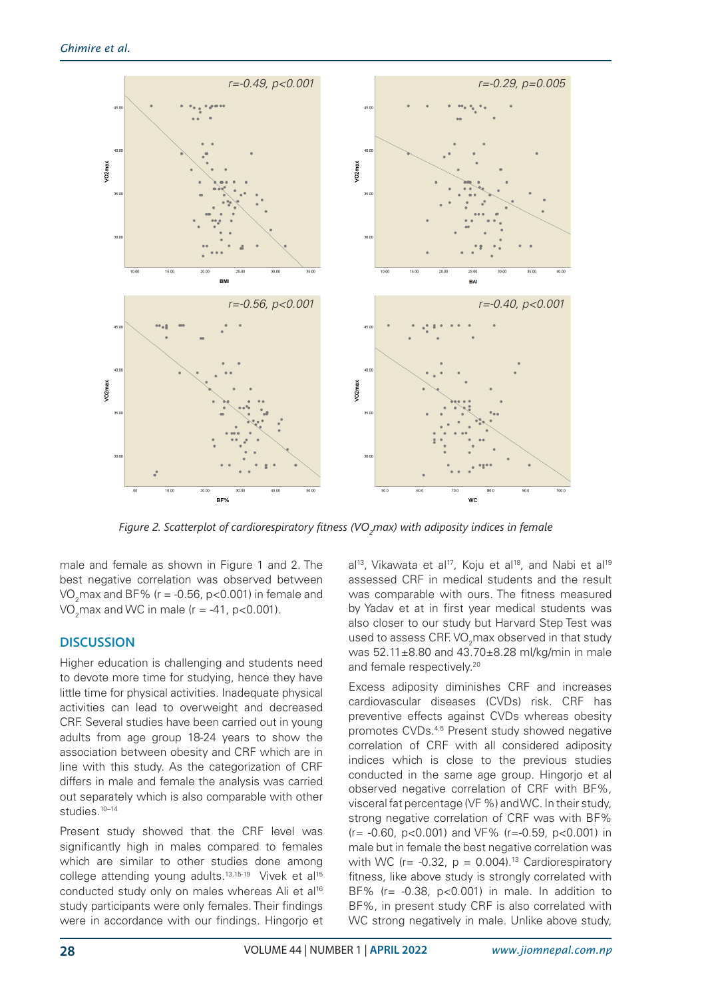

*Figure 2. Scatterplot of cardiorespiratory fitness (VO<sup>2</sup> max) with adiposity indices in female*

male and female as shown in Figure 1 and 2. The best negative correlation was observed between VO $_2$ max and BF% (r = -0.56, p<0.001) in female and VO<sub>2</sub>max and WC in male (r = -41, p<0.001).

# **DISCUSSION**

Higher education is challenging and students need to devote more time for studying, hence they have little time for physical activities. Inadequate physical activities can lead to overweight and decreased CRF. Several studies have been carried out in young adults from age group 18-24 years to show the association between obesity and CRF which are in line with this study. As the categorization of CRF differs in male and female the analysis was carried out separately which is also comparable with other studies.<sup>10–14</sup>

Present study showed that the CRF level was significantly high in males compared to females which are similar to other studies done among college attending young adults.<sup>13,15-19</sup> Vivek et al<sup>15</sup> conducted study only on males whereas Ali et al<sup>16</sup> study participants were only females. Their findings were in accordance with our findings. Hingorjo et  $al^{13}$ , Vikawata et al<sup>17</sup>, Koju et al<sup>18</sup>, and Nabi et al<sup>19</sup> assessed CRF in medical students and the result was comparable with ours. The fitness measured by Yadav et at in first year medical students was also closer to our study but Harvard Step Test was used to assess CRF. VO<sub>2</sub>max observed in that study was 52.11±8.80 and 43.70±8.28 ml/kg/min in male and female respectively.<sup>20</sup>

Excess adiposity diminishes CRF and increases cardiovascular diseases (CVDs) risk. CRF has preventive effects against CVDs whereas obesity promotes CVDs.4,5 Present study showed negative correlation of CRF with all considered adiposity indices which is close to the previous studies conducted in the same age group. Hingorjo et al observed negative correlation of CRF with BF%, visceral fat percentage (VF %) and WC. In their study, strong negative correlation of CRF was with BF% (r= -0.60, p<0.001) and VF% (r=-0.59, p<0.001) in male but in female the best negative correlation was with WC ( $r = -0.32$ ,  $p = 0.004$ ).<sup>13</sup> Cardiorespiratory fitness, like above study is strongly correlated with BF% ( $r = -0.38$ ,  $p < 0.001$ ) in male. In addition to BF%, in present study CRF is also correlated with WC strong negatively in male. Unlike above study,